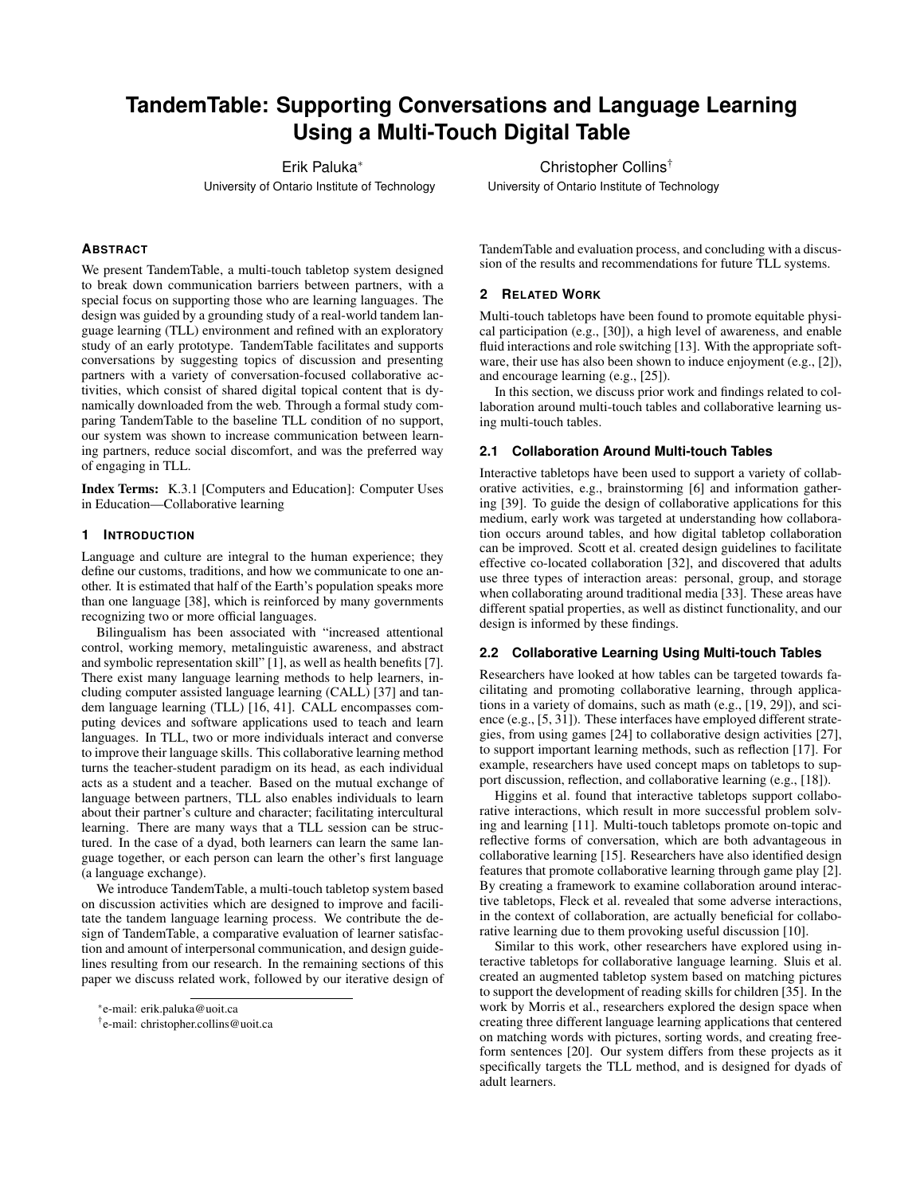# **TandemTable: Supporting Conversations and Language Learning Using a Multi-Touch Digital Table**

Erik Paluka<sup>∗</sup>

University of Ontario Institute of Technology

# **ABSTRACT**

We present TandemTable, a multi-touch tabletop system designed to break down communication barriers between partners, with a special focus on supporting those who are learning languages. The design was guided by a grounding study of a real-world tandem language learning (TLL) environment and refined with an exploratory study of an early prototype. TandemTable facilitates and supports conversations by suggesting topics of discussion and presenting partners with a variety of conversation-focused collaborative activities, which consist of shared digital topical content that is dynamically downloaded from the web. Through a formal study comparing TandemTable to the baseline TLL condition of no support, our system was shown to increase communication between learning partners, reduce social discomfort, and was the preferred way of engaging in TLL.

Index Terms: K.3.1 [Computers and Education]: Computer Uses in Education—Collaborative learning

# **1 INTRODUCTION**

Language and culture are integral to the human experience; they define our customs, traditions, and how we communicate to one another. It is estimated that half of the Earth's population speaks more than one language [38], which is reinforced by many governments recognizing two or more official languages.

Bilingualism has been associated with "increased attentional control, working memory, metalinguistic awareness, and abstract and symbolic representation skill" [1], as well as health benefits [7]. There exist many language learning methods to help learners, including computer assisted language learning (CALL) [37] and tandem language learning (TLL) [16, 41]. CALL encompasses computing devices and software applications used to teach and learn languages. In TLL, two or more individuals interact and converse to improve their language skills. This collaborative learning method turns the teacher-student paradigm on its head, as each individual acts as a student and a teacher. Based on the mutual exchange of language between partners, TLL also enables individuals to learn about their partner's culture and character; facilitating intercultural learning. There are many ways that a TLL session can be structured. In the case of a dyad, both learners can learn the same language together, or each person can learn the other's first language (a language exchange).

We introduce TandemTable, a multi-touch tabletop system based on discussion activities which are designed to improve and facilitate the tandem language learning process. We contribute the design of TandemTable, a comparative evaluation of learner satisfaction and amount of interpersonal communication, and design guidelines resulting from our research. In the remaining sections of this paper we discuss related work, followed by our iterative design of

Christopher Collins† University of Ontario Institute of Technology

TandemTable and evaluation process, and concluding with a discussion of the results and recommendations for future TLL systems.

## **2 RELATED WORK**

Multi-touch tabletops have been found to promote equitable physical participation (e.g., [30]), a high level of awareness, and enable fluid interactions and role switching [13]. With the appropriate software, their use has also been shown to induce enjoyment (e.g., [2]), and encourage learning (e.g., [25]).

In this section, we discuss prior work and findings related to collaboration around multi-touch tables and collaborative learning using multi-touch tables.

# **2.1 Collaboration Around Multi-touch Tables**

Interactive tabletops have been used to support a variety of collaborative activities, e.g., brainstorming [6] and information gathering [39]. To guide the design of collaborative applications for this medium, early work was targeted at understanding how collaboration occurs around tables, and how digital tabletop collaboration can be improved. Scott et al. created design guidelines to facilitate effective co-located collaboration [32], and discovered that adults use three types of interaction areas: personal, group, and storage when collaborating around traditional media [33]. These areas have different spatial properties, as well as distinct functionality, and our design is informed by these findings.

## **2.2 Collaborative Learning Using Multi-touch Tables**

Researchers have looked at how tables can be targeted towards facilitating and promoting collaborative learning, through applications in a variety of domains, such as math (e.g., [19, 29]), and science (e.g., [5, 31]). These interfaces have employed different strategies, from using games [24] to collaborative design activities [27], to support important learning methods, such as reflection [17]. For example, researchers have used concept maps on tabletops to support discussion, reflection, and collaborative learning (e.g., [18]).

Higgins et al. found that interactive tabletops support collaborative interactions, which result in more successful problem solving and learning [11]. Multi-touch tabletops promote on-topic and reflective forms of conversation, which are both advantageous in collaborative learning [15]. Researchers have also identified design features that promote collaborative learning through game play [2]. By creating a framework to examine collaboration around interactive tabletops, Fleck et al. revealed that some adverse interactions, in the context of collaboration, are actually beneficial for collaborative learning due to them provoking useful discussion [10].

Similar to this work, other researchers have explored using interactive tabletops for collaborative language learning. Sluis et al. created an augmented tabletop system based on matching pictures to support the development of reading skills for children [35]. In the work by Morris et al., researchers explored the design space when creating three different language learning applications that centered on matching words with pictures, sorting words, and creating freeform sentences [20]. Our system differs from these projects as it specifically targets the TLL method, and is designed for dyads of adult learners.

<sup>∗</sup> e-mail: erik.paluka@uoit.ca

<sup>†</sup> e-mail: christopher.collins@uoit.ca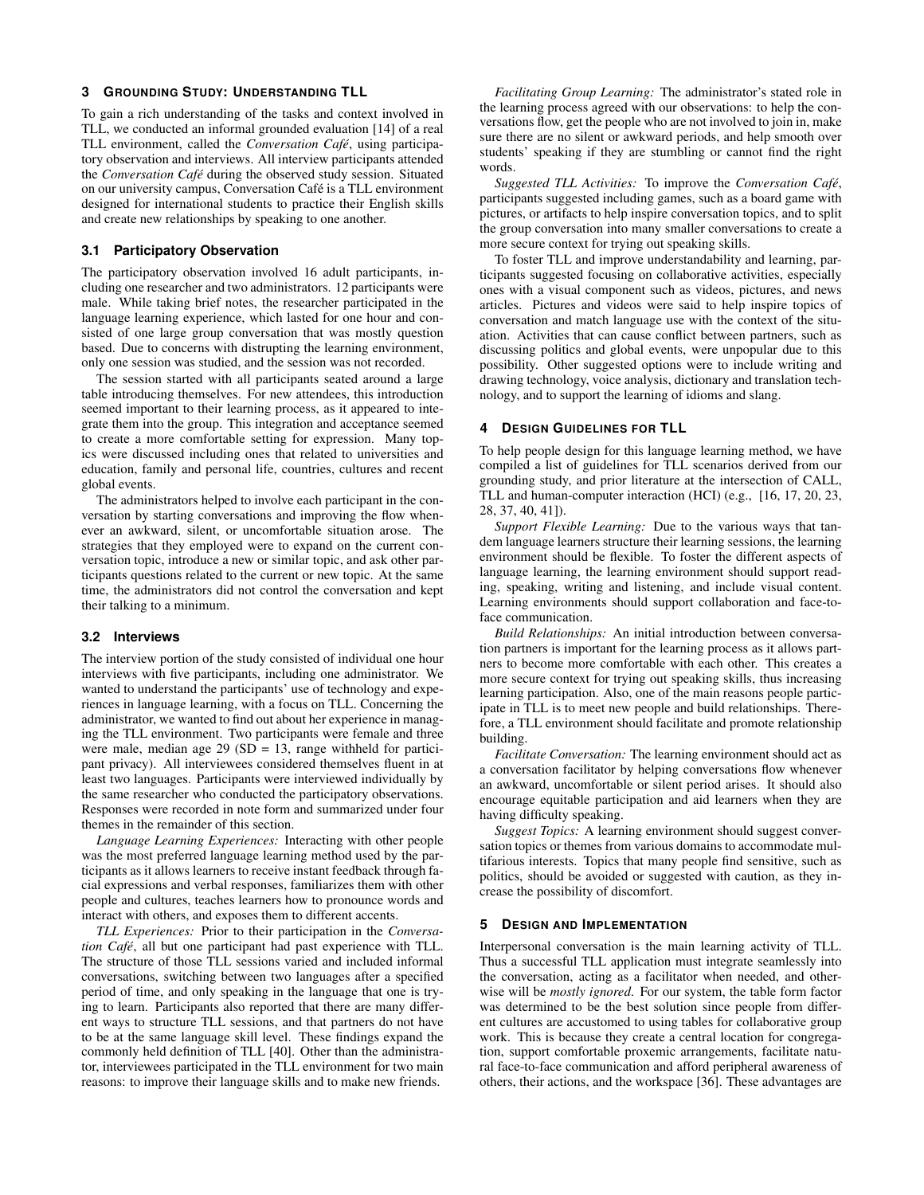## **3 GROUNDING STUDY: UNDERSTANDING TLL**

To gain a rich understanding of the tasks and context involved in TLL, we conducted an informal grounded evaluation [14] of a real TLL environment, called the *Conversation Café*, using participatory observation and interviews. All interview participants attended the *Conversation Cafe´* during the observed study session. Situated on our university campus, Conversation Cafe is a TLL environment ´ designed for international students to practice their English skills and create new relationships by speaking to one another.

#### **3.1 Participatory Observation**

The participatory observation involved 16 adult participants, including one researcher and two administrators. 12 participants were male. While taking brief notes, the researcher participated in the language learning experience, which lasted for one hour and consisted of one large group conversation that was mostly question based. Due to concerns with distrupting the learning environment, only one session was studied, and the session was not recorded.

The session started with all participants seated around a large table introducing themselves. For new attendees, this introduction seemed important to their learning process, as it appeared to integrate them into the group. This integration and acceptance seemed to create a more comfortable setting for expression. Many topics were discussed including ones that related to universities and education, family and personal life, countries, cultures and recent global events.

The administrators helped to involve each participant in the conversation by starting conversations and improving the flow whenever an awkward, silent, or uncomfortable situation arose. The strategies that they employed were to expand on the current conversation topic, introduce a new or similar topic, and ask other participants questions related to the current or new topic. At the same time, the administrators did not control the conversation and kept their talking to a minimum.

# **3.2 Interviews**

The interview portion of the study consisted of individual one hour interviews with five participants, including one administrator. We wanted to understand the participants' use of technology and experiences in language learning, with a focus on TLL. Concerning the administrator, we wanted to find out about her experience in managing the TLL environment. Two participants were female and three were male, median age  $29$  (SD = 13, range withheld for participant privacy). All interviewees considered themselves fluent in at least two languages. Participants were interviewed individually by the same researcher who conducted the participatory observations. Responses were recorded in note form and summarized under four themes in the remainder of this section.

*Language Learning Experiences:* Interacting with other people was the most preferred language learning method used by the participants as it allows learners to receive instant feedback through facial expressions and verbal responses, familiarizes them with other people and cultures, teaches learners how to pronounce words and interact with others, and exposes them to different accents.

*TLL Experiences:* Prior to their participation in the *Conversation Cafe´*, all but one participant had past experience with TLL. The structure of those TLL sessions varied and included informal conversations, switching between two languages after a specified period of time, and only speaking in the language that one is trying to learn. Participants also reported that there are many different ways to structure TLL sessions, and that partners do not have to be at the same language skill level. These findings expand the commonly held definition of TLL [40]. Other than the administrator, interviewees participated in the TLL environment for two main reasons: to improve their language skills and to make new friends.

*Facilitating Group Learning:* The administrator's stated role in the learning process agreed with our observations: to help the conversations flow, get the people who are not involved to join in, make sure there are no silent or awkward periods, and help smooth over students' speaking if they are stumbling or cannot find the right words.

*Suggested TLL Activities:* To improve the *Conversation Cafe´*, participants suggested including games, such as a board game with pictures, or artifacts to help inspire conversation topics, and to split the group conversation into many smaller conversations to create a more secure context for trying out speaking skills.

To foster TLL and improve understandability and learning, participants suggested focusing on collaborative activities, especially ones with a visual component such as videos, pictures, and news articles. Pictures and videos were said to help inspire topics of conversation and match language use with the context of the situation. Activities that can cause conflict between partners, such as discussing politics and global events, were unpopular due to this possibility. Other suggested options were to include writing and drawing technology, voice analysis, dictionary and translation technology, and to support the learning of idioms and slang.

#### **4 DESIGN GUIDELINES FOR TLL**

To help people design for this language learning method, we have compiled a list of guidelines for TLL scenarios derived from our grounding study, and prior literature at the intersection of CALL, TLL and human-computer interaction (HCI) (e.g., [16, 17, 20, 23, 28, 37, 40, 41]).

*Support Flexible Learning:* Due to the various ways that tandem language learners structure their learning sessions, the learning environment should be flexible. To foster the different aspects of language learning, the learning environment should support reading, speaking, writing and listening, and include visual content. Learning environments should support collaboration and face-toface communication.

*Build Relationships:* An initial introduction between conversation partners is important for the learning process as it allows partners to become more comfortable with each other. This creates a more secure context for trying out speaking skills, thus increasing learning participation. Also, one of the main reasons people participate in TLL is to meet new people and build relationships. Therefore, a TLL environment should facilitate and promote relationship building.

*Facilitate Conversation:* The learning environment should act as a conversation facilitator by helping conversations flow whenever an awkward, uncomfortable or silent period arises. It should also encourage equitable participation and aid learners when they are having difficulty speaking.

*Suggest Topics:* A learning environment should suggest conversation topics or themes from various domains to accommodate multifarious interests. Topics that many people find sensitive, such as politics, should be avoided or suggested with caution, as they increase the possibility of discomfort.

#### **5 DESIGN AND IMPLEMENTATION**

Interpersonal conversation is the main learning activity of TLL. Thus a successful TLL application must integrate seamlessly into the conversation, acting as a facilitator when needed, and otherwise will be *mostly ignored*. For our system, the table form factor was determined to be the best solution since people from different cultures are accustomed to using tables for collaborative group work. This is because they create a central location for congregation, support comfortable proxemic arrangements, facilitate natural face-to-face communication and afford peripheral awareness of others, their actions, and the workspace [36]. These advantages are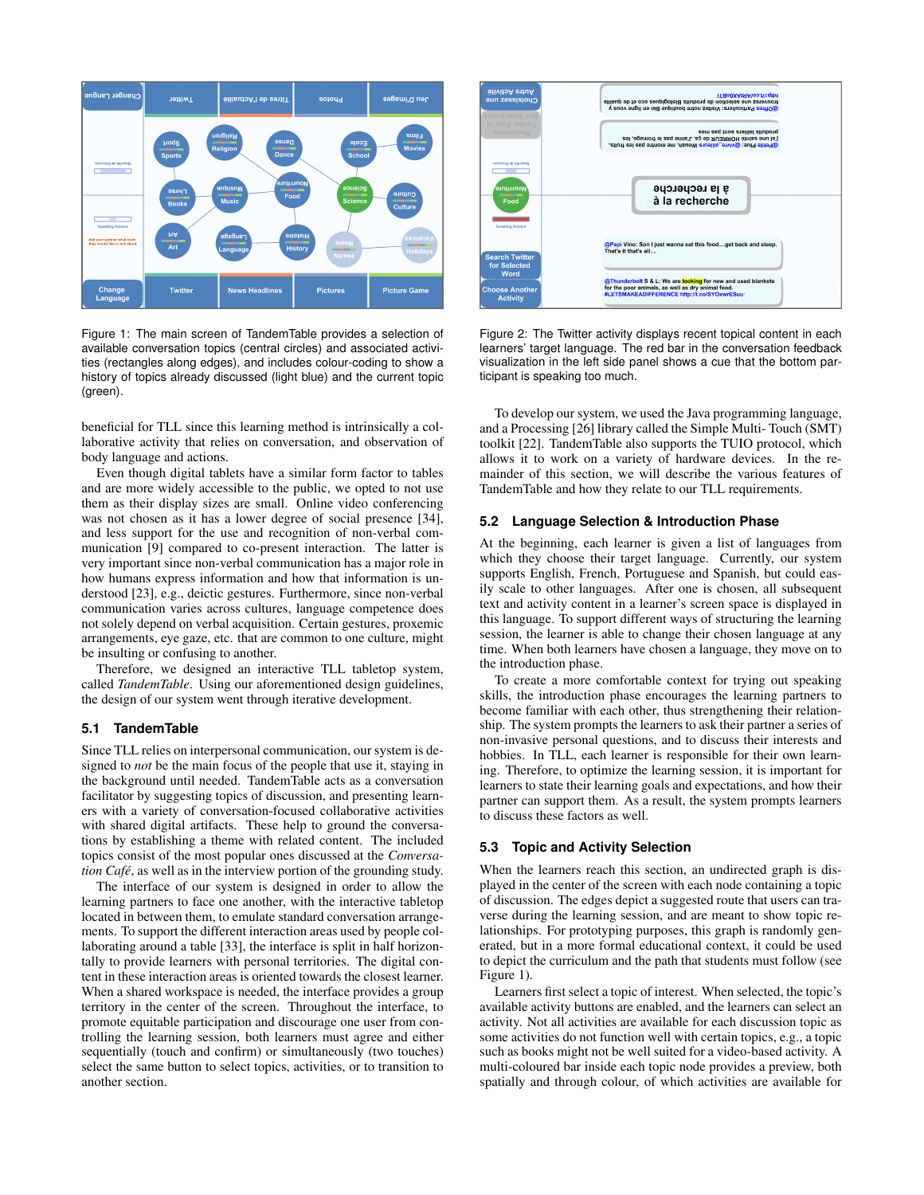

Figure 1: The main screen of TandemTable provides a selection of available conversation topics (central circles) and associated activities (rectangles along edges), and includes colour-coding to show a history of topics already discussed (light blue) and the current topic (green).

beneficial for TLL since this learning method is intrinsically a collaborative activity that relies on conversation, and observation of body language and actions.

Even though digital tablets have a similar form factor to tables and are more widely accessible to the public, we opted to not use them as their display sizes are small. Online video conferencing was not chosen as it has a lower degree of social presence [34], and less support for the use and recognition of non-verbal communication [9] compared to co-present interaction. The latter is very important since non-verbal communication has a major role in how humans express information and how that information is understood [23], e.g., deictic gestures. Furthermore, since non-verbal communication varies across cultures, language competence does not solely depend on verbal acquisition. Certain gestures, proxemic arrangements, eye gaze, etc. that are common to one culture, might be insulting or confusing to another.

Therefore, we designed an interactive TLL tabletop system, called *TandemTable*. Using our aforementioned design guidelines, the design of our system went through iterative development.

## **5.1 TandemTable**

Since TLL relies on interpersonal communication, our system is designed to *not* be the main focus of the people that use it, staying in the background until needed. TandemTable acts as a conversation facilitator by suggesting topics of discussion, and presenting learners with a variety of conversation-focused collaborative activities with shared digital artifacts. These help to ground the conversations by establishing a theme with related content. The included topics consist of the most popular ones discussed at the *Conversation Café*, as well as in the interview portion of the grounding study.

The interface of our system is designed in order to allow the learning partners to face one another, with the interactive tabletop located in between them, to emulate standard conversation arrangements. To support the different interaction areas used by people collaborating around a table [33], the interface is split in half horizontally to provide learners with personal territories. The digital content in these interaction areas is oriented towards the closest learner. When a shared workspace is needed, the interface provides a group territory in the center of the screen. Throughout the interface, to promote equitable participation and discourage one user from controlling the learning session, both learners must agree and either sequentially (touch and confirm) or simultaneously (two touches) select the same button to select topics, activities, or to transition to another section.



Figure 2: The Twitter activity displays recent topical content in each learners' target language. The red bar in the conversation feedback visualization in the left side panel shows a cue that the bottom participant is speaking too much.

To develop our system, we used the Java programming language, and a Processing [26] library called the Simple Multi- Touch (SMT) toolkit [22]. TandemTable also supports the TUIO protocol, which allows it to work on a variety of hardware devices. In the remainder of this section, we will describe the various features of TandemTable and how they relate to our TLL requirements.

# **5.2 Language Selection & Introduction Phase**

At the beginning, each learner is given a list of languages from which they choose their target language. Currently, our system supports English, French, Portuguese and Spanish, but could easily scale to other languages. After one is chosen, all subsequent text and activity content in a learner's screen space is displayed in this language. To support different ways of structuring the learning session, the learner is able to change their chosen language at any time. When both learners have chosen a language, they move on to the introduction phase.

To create a more comfortable context for trying out speaking skills, the introduction phase encourages the learning partners to become familiar with each other, thus strengthening their relationship. The system prompts the learners to ask their partner a series of non-invasive personal questions, and to discuss their interests and hobbies. In TLL, each learner is responsible for their own learning. Therefore, to optimize the learning session, it is important for learners to state their learning goals and expectations, and how their partner can support them. As a result, the system prompts learners to discuss these factors as well.

## **5.3 Topic and Activity Selection**

When the learners reach this section, an undirected graph is displayed in the center of the screen with each node containing a topic of discussion. The edges depict a suggested route that users can traverse during the learning session, and are meant to show topic relationships. For prototyping purposes, this graph is randomly generated, but in a more formal educational context, it could be used to depict the curriculum and the path that students must follow (see Figure 1).

Learners first select a topic of interest. When selected, the topic's available activity buttons are enabled, and the learners can select an activity. Not all activities are available for each discussion topic as some activities do not function well with certain topics, e.g., a topic such as books might not be well suited for a video-based activity. A multi-coloured bar inside each topic node provides a preview, both spatially and through colour, of which activities are available for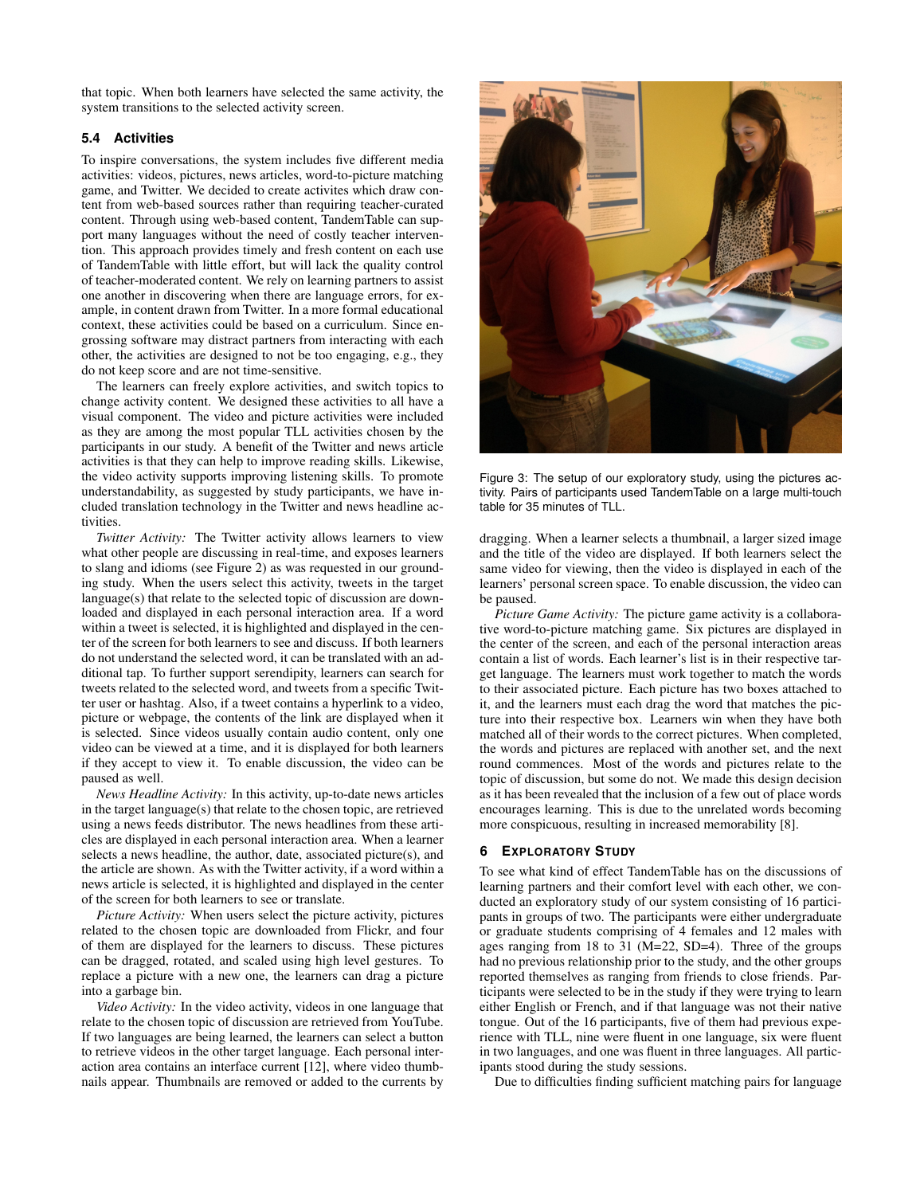that topic. When both learners have selected the same activity, the system transitions to the selected activity screen.

## **5.4 Activities**

To inspire conversations, the system includes five different media activities: videos, pictures, news articles, word-to-picture matching game, and Twitter. We decided to create activites which draw content from web-based sources rather than requiring teacher-curated content. Through using web-based content, TandemTable can support many languages without the need of costly teacher intervention. This approach provides timely and fresh content on each use of TandemTable with little effort, but will lack the quality control of teacher-moderated content. We rely on learning partners to assist one another in discovering when there are language errors, for example, in content drawn from Twitter. In a more formal educational context, these activities could be based on a curriculum. Since engrossing software may distract partners from interacting with each other, the activities are designed to not be too engaging, e.g., they do not keep score and are not time-sensitive.

The learners can freely explore activities, and switch topics to change activity content. We designed these activities to all have a visual component. The video and picture activities were included as they are among the most popular TLL activities chosen by the participants in our study. A benefit of the Twitter and news article activities is that they can help to improve reading skills. Likewise, the video activity supports improving listening skills. To promote understandability, as suggested by study participants, we have included translation technology in the Twitter and news headline activities.

*Twitter Activity:* The Twitter activity allows learners to view what other people are discussing in real-time, and exposes learners to slang and idioms (see Figure 2) as was requested in our grounding study. When the users select this activity, tweets in the target language(s) that relate to the selected topic of discussion are downloaded and displayed in each personal interaction area. If a word within a tweet is selected, it is highlighted and displayed in the center of the screen for both learners to see and discuss. If both learners do not understand the selected word, it can be translated with an additional tap. To further support serendipity, learners can search for tweets related to the selected word, and tweets from a specific Twitter user or hashtag. Also, if a tweet contains a hyperlink to a video, picture or webpage, the contents of the link are displayed when it is selected. Since videos usually contain audio content, only one video can be viewed at a time, and it is displayed for both learners if they accept to view it. To enable discussion, the video can be paused as well.

*News Headline Activity:* In this activity, up-to-date news articles in the target language(s) that relate to the chosen topic, are retrieved using a news feeds distributor. The news headlines from these articles are displayed in each personal interaction area. When a learner selects a news headline, the author, date, associated picture(s), and the article are shown. As with the Twitter activity, if a word within a news article is selected, it is highlighted and displayed in the center of the screen for both learners to see or translate.

*Picture Activity:* When users select the picture activity, pictures related to the chosen topic are downloaded from Flickr, and four of them are displayed for the learners to discuss. These pictures can be dragged, rotated, and scaled using high level gestures. To replace a picture with a new one, the learners can drag a picture into a garbage bin.

*Video Activity:* In the video activity, videos in one language that relate to the chosen topic of discussion are retrieved from YouTube. If two languages are being learned, the learners can select a button to retrieve videos in the other target language. Each personal interaction area contains an interface current [12], where video thumbnails appear. Thumbnails are removed or added to the currents by



Figure 3: The setup of our exploratory study, using the pictures activity. Pairs of participants used TandemTable on a large multi-touch table for 35 minutes of TLL.

dragging. When a learner selects a thumbnail, a larger sized image and the title of the video are displayed. If both learners select the same video for viewing, then the video is displayed in each of the learners' personal screen space. To enable discussion, the video can be paused.

*Picture Game Activity:* The picture game activity is a collaborative word-to-picture matching game. Six pictures are displayed in the center of the screen, and each of the personal interaction areas contain a list of words. Each learner's list is in their respective target language. The learners must work together to match the words to their associated picture. Each picture has two boxes attached to it, and the learners must each drag the word that matches the picture into their respective box. Learners win when they have both matched all of their words to the correct pictures. When completed, the words and pictures are replaced with another set, and the next round commences. Most of the words and pictures relate to the topic of discussion, but some do not. We made this design decision as it has been revealed that the inclusion of a few out of place words encourages learning. This is due to the unrelated words becoming more conspicuous, resulting in increased memorability [8].

## **6 EXPLORATORY STUDY**

To see what kind of effect TandemTable has on the discussions of learning partners and their comfort level with each other, we conducted an exploratory study of our system consisting of 16 participants in groups of two. The participants were either undergraduate or graduate students comprising of 4 females and 12 males with ages ranging from 18 to 31 (M=22, SD=4). Three of the groups had no previous relationship prior to the study, and the other groups reported themselves as ranging from friends to close friends. Participants were selected to be in the study if they were trying to learn either English or French, and if that language was not their native tongue. Out of the 16 participants, five of them had previous experience with TLL, nine were fluent in one language, six were fluent in two languages, and one was fluent in three languages. All participants stood during the study sessions.

Due to difficulties finding sufficient matching pairs for language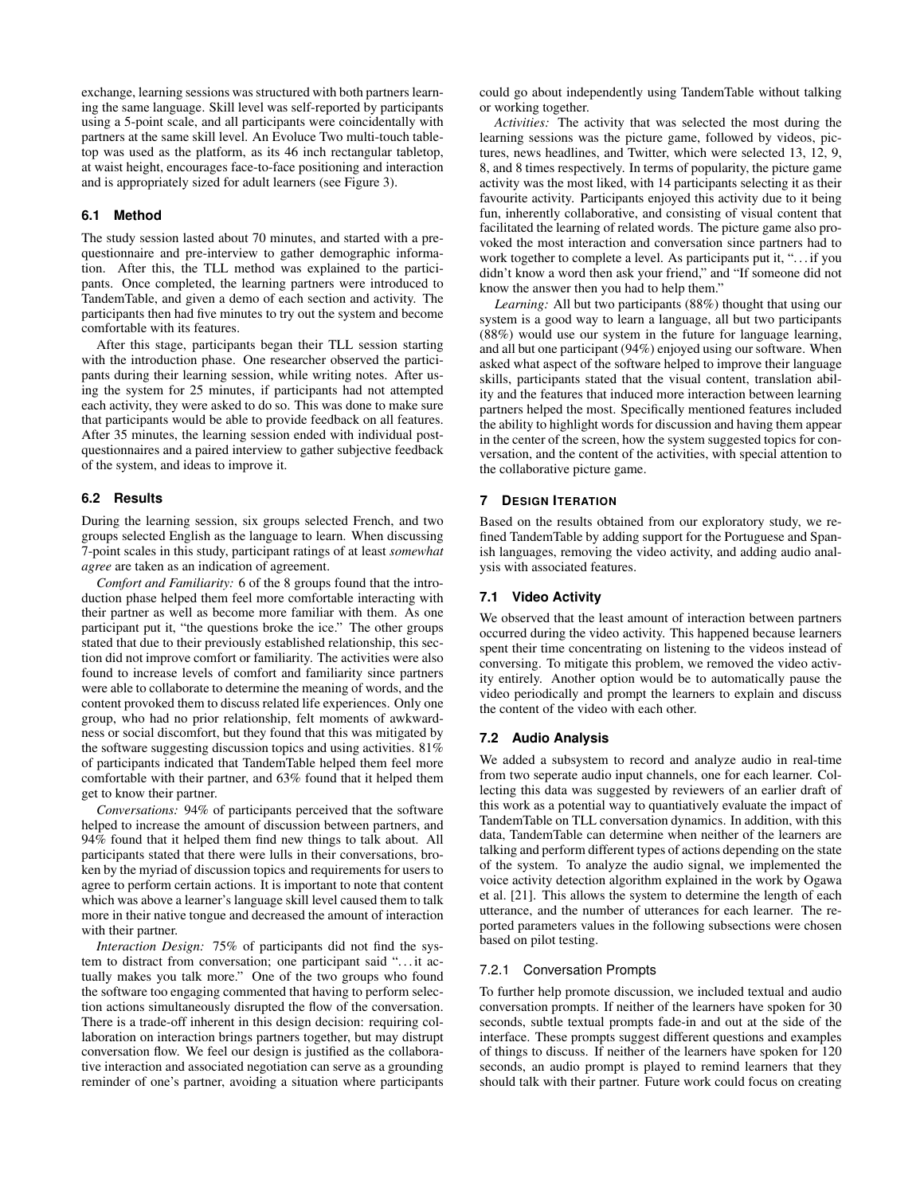exchange, learning sessions was structured with both partners learning the same language. Skill level was self-reported by participants using a 5-point scale, and all participants were coincidentally with partners at the same skill level. An Evoluce Two multi-touch tabletop was used as the platform, as its 46 inch rectangular tabletop, at waist height, encourages face-to-face positioning and interaction and is appropriately sized for adult learners (see Figure 3).

# **6.1 Method**

The study session lasted about 70 minutes, and started with a prequestionnaire and pre-interview to gather demographic information. After this, the TLL method was explained to the participants. Once completed, the learning partners were introduced to TandemTable, and given a demo of each section and activity. The participants then had five minutes to try out the system and become comfortable with its features.

After this stage, participants began their TLL session starting with the introduction phase. One researcher observed the participants during their learning session, while writing notes. After using the system for 25 minutes, if participants had not attempted each activity, they were asked to do so. This was done to make sure that participants would be able to provide feedback on all features. After 35 minutes, the learning session ended with individual postquestionnaires and a paired interview to gather subjective feedback of the system, and ideas to improve it.

# **6.2 Results**

During the learning session, six groups selected French, and two groups selected English as the language to learn. When discussing 7-point scales in this study, participant ratings of at least *somewhat agree* are taken as an indication of agreement.

*Comfort and Familiarity:* 6 of the 8 groups found that the introduction phase helped them feel more comfortable interacting with their partner as well as become more familiar with them. As one participant put it, "the questions broke the ice." The other groups stated that due to their previously established relationship, this section did not improve comfort or familiarity. The activities were also found to increase levels of comfort and familiarity since partners were able to collaborate to determine the meaning of words, and the content provoked them to discuss related life experiences. Only one group, who had no prior relationship, felt moments of awkwardness or social discomfort, but they found that this was mitigated by the software suggesting discussion topics and using activities. 81% of participants indicated that TandemTable helped them feel more comfortable with their partner, and 63% found that it helped them get to know their partner.

*Conversations:* 94% of participants perceived that the software helped to increase the amount of discussion between partners, and 94% found that it helped them find new things to talk about. All participants stated that there were lulls in their conversations, broken by the myriad of discussion topics and requirements for users to agree to perform certain actions. It is important to note that content which was above a learner's language skill level caused them to talk more in their native tongue and decreased the amount of interaction with their partner.

*Interaction Design:* 75% of participants did not find the system to distract from conversation; one participant said "... it actually makes you talk more." One of the two groups who found the software too engaging commented that having to perform selection actions simultaneously disrupted the flow of the conversation. There is a trade-off inherent in this design decision: requiring collaboration on interaction brings partners together, but may distrupt conversation flow. We feel our design is justified as the collaborative interaction and associated negotiation can serve as a grounding reminder of one's partner, avoiding a situation where participants could go about independently using TandemTable without talking or working together.

*Activities:* The activity that was selected the most during the learning sessions was the picture game, followed by videos, pictures, news headlines, and Twitter, which were selected 13, 12, 9, 8, and 8 times respectively. In terms of popularity, the picture game activity was the most liked, with 14 participants selecting it as their favourite activity. Participants enjoyed this activity due to it being fun, inherently collaborative, and consisting of visual content that facilitated the learning of related words. The picture game also provoked the most interaction and conversation since partners had to work together to complete a level. As participants put it, "... if you didn't know a word then ask your friend," and "If someone did not know the answer then you had to help them."

*Learning:* All but two participants (88%) thought that using our system is a good way to learn a language, all but two participants (88%) would use our system in the future for language learning, and all but one participant (94%) enjoyed using our software. When asked what aspect of the software helped to improve their language skills, participants stated that the visual content, translation ability and the features that induced more interaction between learning partners helped the most. Specifically mentioned features included the ability to highlight words for discussion and having them appear in the center of the screen, how the system suggested topics for conversation, and the content of the activities, with special attention to the collaborative picture game.

## **7 DESIGN ITERATION**

Based on the results obtained from our exploratory study, we refined TandemTable by adding support for the Portuguese and Spanish languages, removing the video activity, and adding audio analysis with associated features.

# **7.1 Video Activity**

We observed that the least amount of interaction between partners occurred during the video activity. This happened because learners spent their time concentrating on listening to the videos instead of conversing. To mitigate this problem, we removed the video activity entirely. Another option would be to automatically pause the video periodically and prompt the learners to explain and discuss the content of the video with each other.

## **7.2 Audio Analysis**

We added a subsystem to record and analyze audio in real-time from two seperate audio input channels, one for each learner. Collecting this data was suggested by reviewers of an earlier draft of this work as a potential way to quantiatively evaluate the impact of TandemTable on TLL conversation dynamics. In addition, with this data, TandemTable can determine when neither of the learners are talking and perform different types of actions depending on the state of the system. To analyze the audio signal, we implemented the voice activity detection algorithm explained in the work by Ogawa et al. [21]. This allows the system to determine the length of each utterance, and the number of utterances for each learner. The reported parameters values in the following subsections were chosen based on pilot testing.

# 7.2.1 Conversation Prompts

To further help promote discussion, we included textual and audio conversation prompts. If neither of the learners have spoken for 30 seconds, subtle textual prompts fade-in and out at the side of the interface. These prompts suggest different questions and examples of things to discuss. If neither of the learners have spoken for 120 seconds, an audio prompt is played to remind learners that they should talk with their partner. Future work could focus on creating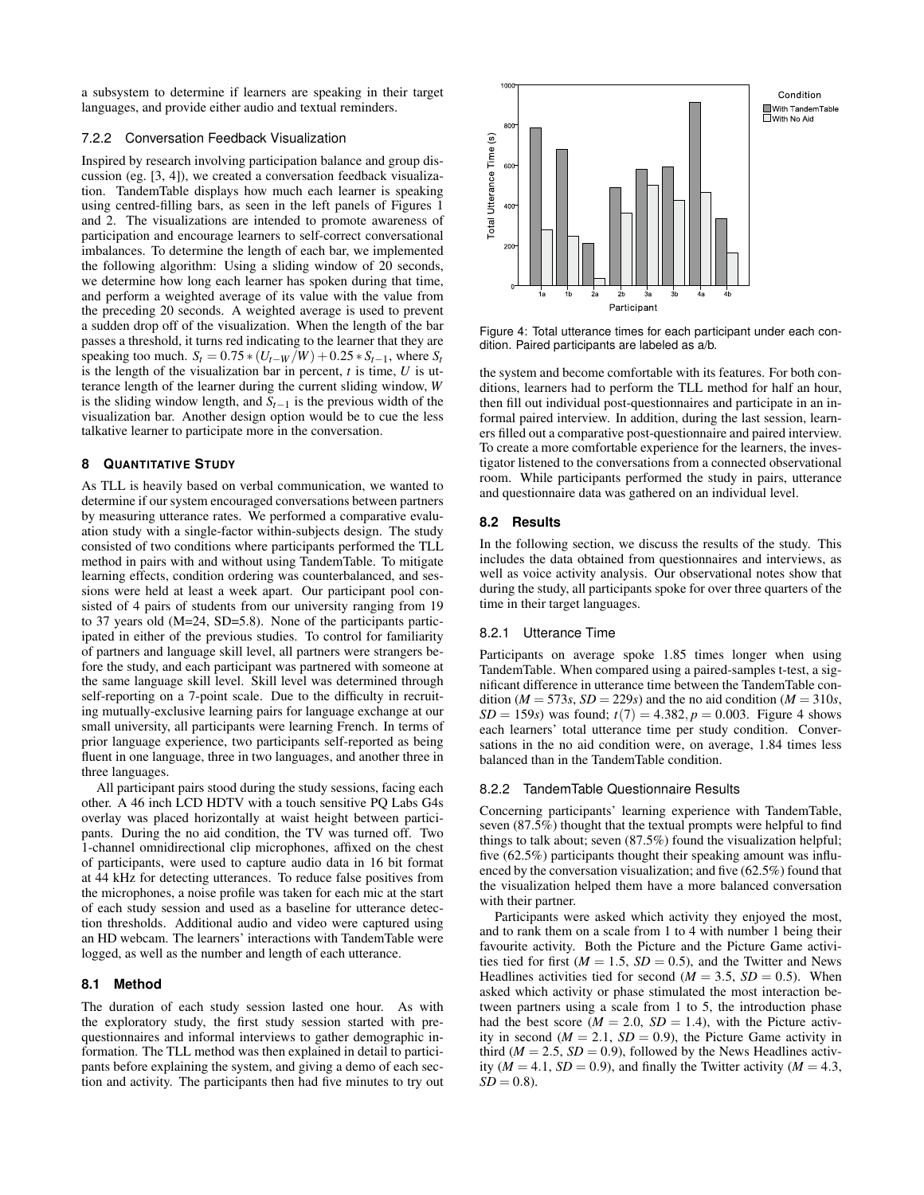a subsystem to determine if learners are speaking in their target languages, and provide either audio and textual reminders.

# 7.2.2 Conversation Feedback Visualization

Inspired by research involving participation balance and group discussion (eg. [3, 4]), we created a conversation feedback visualization. TandemTable displays how much each learner is speaking using centred-filling bars, as seen in the left panels of Figures 1 and 2. The visualizations are intended to promote awareness of participation and encourage learners to self-correct conversational imbalances. To determine the length of each bar, we implemented the following algorithm: Using a sliding window of 20 seconds, we determine how long each learner has spoken during that time, and perform a weighted average of its value with the value from the preceding 20 seconds. A weighted average is used to prevent a sudden drop off of the visualization. When the length of the bar passes a threshold, it turns red indicating to the learner that they are speaking too much.  $S_t = 0.75 * (U_{t-W}/W) + 0.25 * S_{t-1}$ , where  $S_t$ is the length of the visualization bar in percent, *t* is time, *U* is utterance length of the learner during the current sliding window, *W* is the sliding window length, and  $S_{t-1}$  is the previous width of the visualization bar. Another design option would be to cue the less talkative learner to participate more in the conversation.

# **8 QUANTITATIVE STUDY**

As TLL is heavily based on verbal communication, we wanted to determine if our system encouraged conversations between partners by measuring utterance rates. We performed a comparative evaluation study with a single-factor within-subjects design. The study consisted of two conditions where participants performed the TLL method in pairs with and without using TandemTable. To mitigate learning effects, condition ordering was counterbalanced, and sessions were held at least a week apart. Our participant pool consisted of 4 pairs of students from our university ranging from 19 to 37 years old (M=24, SD=5.8). None of the participants participated in either of the previous studies. To control for familiarity of partners and language skill level, all partners were strangers before the study, and each participant was partnered with someone at the same language skill level. Skill level was determined through self-reporting on a 7-point scale. Due to the difficulty in recruiting mutually-exclusive learning pairs for language exchange at our small university, all participants were learning French. In terms of prior language experience, two participants self-reported as being fluent in one language, three in two languages, and another three in three languages.

All participant pairs stood during the study sessions, facing each other. A 46 inch LCD HDTV with a touch sensitive PQ Labs G4s overlay was placed horizontally at waist height between participants. During the no aid condition, the TV was turned off. Two 1-channel omnidirectional clip microphones, affixed on the chest of participants, were used to capture audio data in 16 bit format at 44 kHz for detecting utterances. To reduce false positives from the microphones, a noise profile was taken for each mic at the start of each study session and used as a baseline for utterance detection thresholds. Additional audio and video were captured using an HD webcam. The learners' interactions with TandemTable were logged, as well as the number and length of each utterance.

## **8.1 Method**

The duration of each study session lasted one hour. As with the exploratory study, the first study session started with prequestionnaires and informal interviews to gather demographic information. The TLL method was then explained in detail to participants before explaining the system, and giving a demo of each section and activity. The participants then had five minutes to try out



Figure 4: Total utterance times for each participant under each condition. Paired participants are labeled as a/b.

Condition

the system and become comfortable with its features. For both conditions, learners had to perform the TLL method for half an hour, then fill out individual post-questionnaires and participate in an informal paired interview. In addition, during the last session, learners filled out a comparative post-questionnaire and paired interview. To create a more comfortable experience for the learners, the investigator listened to the conversations from a connected observational room. While participants performed the study in pairs, utterance and questionnaire data was gathered on an individual level.

# **8.2 Results**

In the following section, we discuss the results of the study. This includes the data obtained from questionnaires and interviews, as well as voice activity analysis. Our observational notes show that during the study, all participants spoke for over three quarters of the time in their target languages.

## 8.2.1 Utterance Time

Participants on average spoke 1.85 times longer when using TandemTable. When compared using a paired-samples t-test, a significant difference in utterance time between the TandemTable condition ( $M = 573s$ ,  $SD = 229s$ ) and the no aid condition ( $M = 310s$ , *SD* = 159*s*) was found;  $t(7) = 4.382, p = 0.003$ . Figure 4 shows each learners' total utterance time per study condition. Conversations in the no aid condition were, on average, 1.84 times less balanced than in the TandemTable condition.

# 8.2.2 TandemTable Questionnaire Results

Concerning participants' learning experience with TandemTable, seven (87.5%) thought that the textual prompts were helpful to find things to talk about; seven (87.5%) found the visualization helpful; five (62.5%) participants thought their speaking amount was influenced by the conversation visualization; and five (62.5%) found that the visualization helped them have a more balanced conversation with their partner.

Participants were asked which activity they enjoyed the most, and to rank them on a scale from 1 to 4 with number 1 being their favourite activity. Both the Picture and the Picture Game activities tied for first  $(M = 1.5, SD = 0.5)$ , and the Twitter and News Headlines activities tied for second ( $M = 3.5$ ,  $SD = 0.5$ ). When asked which activity or phase stimulated the most interaction between partners using a scale from 1 to 5, the introduction phase had the best score ( $M = 2.0$ ,  $SD = 1.4$ ), with the Picture activity in second  $(M = 2.1, SD = 0.9)$ , the Picture Game activity in third ( $M = 2.5$ ,  $SD = 0.9$ ), followed by the News Headlines activity ( $M = 4.1$ ,  $SD = 0.9$ ), and finally the Twitter activity ( $M = 4.3$ ,  $SD = 0.8$ ).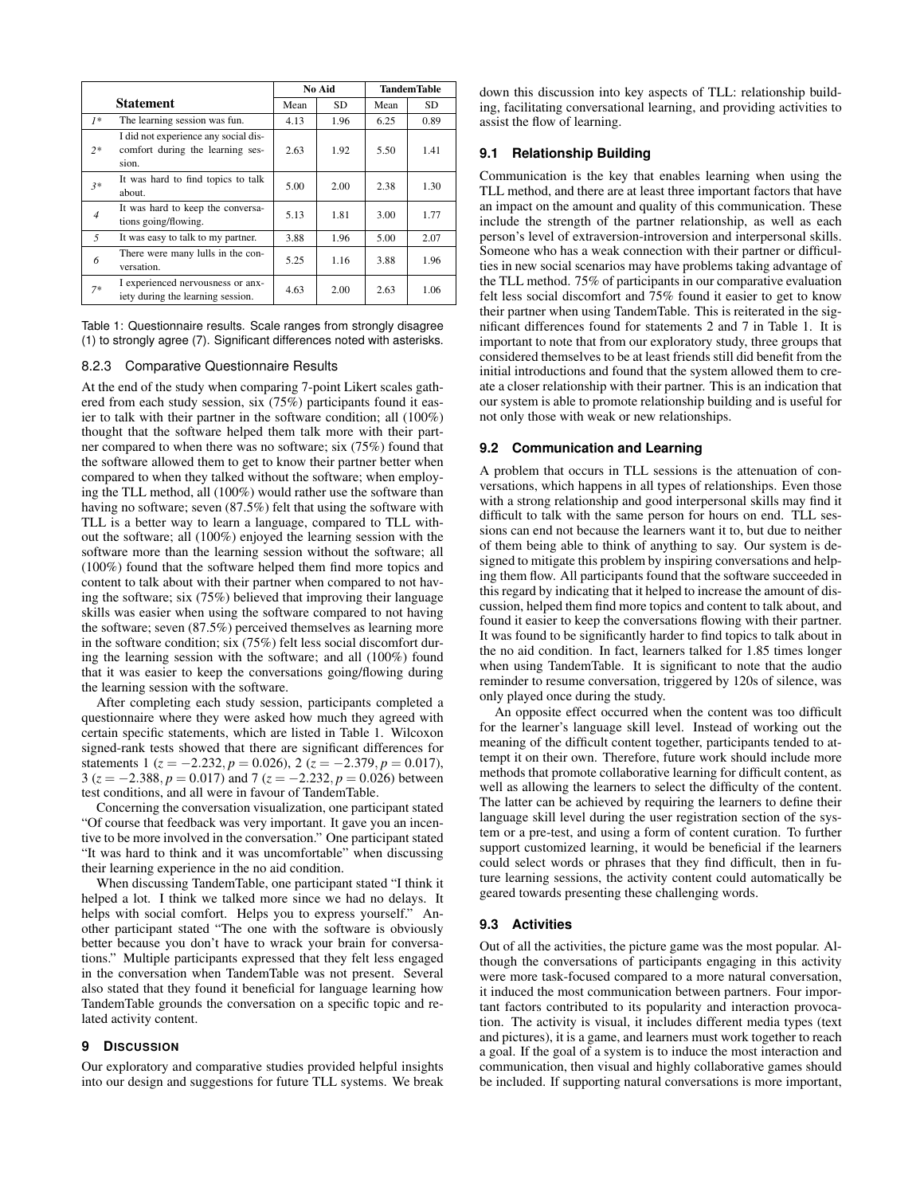|                  |                                                                                   |      | No Aid |      | <b>TandemTable</b> |  |
|------------------|-----------------------------------------------------------------------------------|------|--------|------|--------------------|--|
| <b>Statement</b> |                                                                                   | Mean | SD.    | Mean | SD.                |  |
| $1*$             | The learning session was fun.                                                     | 4.13 | 1.96   | 6.25 | 0.89               |  |
| $2*$             | I did not experience any social dis-<br>comfort during the learning ses-<br>sion. | 2.63 | 1.92   | 5.50 | 1.41               |  |
| $3*$             | It was hard to find topics to talk<br>about.                                      | 5.00 | 2.00   | 2.38 | 1.30               |  |
| $\overline{4}$   | It was hard to keep the conversa-<br>tions going/flowing.                         | 5.13 | 1.81   | 3.00 | 1.77               |  |
| $\overline{5}$   | It was easy to talk to my partner.                                                | 3.88 | 1.96   | 5.00 | 2.07               |  |
| 6                | There were many lulls in the con-<br>versation.                                   | 5.25 | 1.16   | 3.88 | 1.96               |  |
| $7*$             | I experienced nervousness or anx-<br>iety during the learning session.            | 4.63 | 2.00   | 2.63 | 1.06               |  |

Table 1: Questionnaire results. Scale ranges from strongly disagree (1) to strongly agree (7). Significant differences noted with asterisks.

## 8.2.3 Comparative Questionnaire Results

At the end of the study when comparing 7-point Likert scales gathered from each study session, six (75%) participants found it easier to talk with their partner in the software condition; all (100%) thought that the software helped them talk more with their partner compared to when there was no software; six (75%) found that the software allowed them to get to know their partner better when compared to when they talked without the software; when employing the TLL method, all (100%) would rather use the software than having no software; seven (87.5%) felt that using the software with TLL is a better way to learn a language, compared to TLL without the software; all (100%) enjoyed the learning session with the software more than the learning session without the software; all (100%) found that the software helped them find more topics and content to talk about with their partner when compared to not having the software; six (75%) believed that improving their language skills was easier when using the software compared to not having the software; seven (87.5%) perceived themselves as learning more in the software condition; six (75%) felt less social discomfort during the learning session with the software; and all (100%) found that it was easier to keep the conversations going/flowing during the learning session with the software.

After completing each study session, participants completed a questionnaire where they were asked how much they agreed with certain specific statements, which are listed in Table 1. Wilcoxon signed-rank tests showed that there are significant differences for statements 1 ( $z = -2.232$ ,  $p = 0.026$ ), 2 ( $z = -2.379$ ,  $p = 0.017$ ), 3 ( $z = -2.388$ ,  $p = 0.017$ ) and 7 ( $z = -2.232$ ,  $p = 0.026$ ) between test conditions, and all were in favour of TandemTable.

Concerning the conversation visualization, one participant stated "Of course that feedback was very important. It gave you an incentive to be more involved in the conversation." One participant stated "It was hard to think and it was uncomfortable" when discussing their learning experience in the no aid condition.

When discussing TandemTable, one participant stated "I think it helped a lot. I think we talked more since we had no delays. It helps with social comfort. Helps you to express yourself." Another participant stated "The one with the software is obviously better because you don't have to wrack your brain for conversations." Multiple participants expressed that they felt less engaged in the conversation when TandemTable was not present. Several also stated that they found it beneficial for language learning how TandemTable grounds the conversation on a specific topic and related activity content.

## **9 DISCUSSION**

Our exploratory and comparative studies provided helpful insights into our design and suggestions for future TLL systems. We break

down this discussion into key aspects of TLL: relationship building, facilitating conversational learning, and providing activities to assist the flow of learning.

## **9.1 Relationship Building**

Communication is the key that enables learning when using the TLL method, and there are at least three important factors that have an impact on the amount and quality of this communication. These include the strength of the partner relationship, as well as each person's level of extraversion-introversion and interpersonal skills. Someone who has a weak connection with their partner or difficulties in new social scenarios may have problems taking advantage of the TLL method. 75% of participants in our comparative evaluation felt less social discomfort and 75% found it easier to get to know their partner when using TandemTable. This is reiterated in the significant differences found for statements 2 and 7 in Table 1. It is important to note that from our exploratory study, three groups that considered themselves to be at least friends still did benefit from the initial introductions and found that the system allowed them to create a closer relationship with their partner. This is an indication that our system is able to promote relationship building and is useful for not only those with weak or new relationships.

#### **9.2 Communication and Learning**

A problem that occurs in TLL sessions is the attenuation of conversations, which happens in all types of relationships. Even those with a strong relationship and good interpersonal skills may find it difficult to talk with the same person for hours on end. TLL sessions can end not because the learners want it to, but due to neither of them being able to think of anything to say. Our system is designed to mitigate this problem by inspiring conversations and helping them flow. All participants found that the software succeeded in this regard by indicating that it helped to increase the amount of discussion, helped them find more topics and content to talk about, and found it easier to keep the conversations flowing with their partner. It was found to be significantly harder to find topics to talk about in the no aid condition. In fact, learners talked for 1.85 times longer when using TandemTable. It is significant to note that the audio reminder to resume conversation, triggered by 120s of silence, was only played once during the study.

An opposite effect occurred when the content was too difficult for the learner's language skill level. Instead of working out the meaning of the difficult content together, participants tended to attempt it on their own. Therefore, future work should include more methods that promote collaborative learning for difficult content, as well as allowing the learners to select the difficulty of the content. The latter can be achieved by requiring the learners to define their language skill level during the user registration section of the system or a pre-test, and using a form of content curation. To further support customized learning, it would be beneficial if the learners could select words or phrases that they find difficult, then in future learning sessions, the activity content could automatically be geared towards presenting these challenging words.

## **9.3 Activities**

Out of all the activities, the picture game was the most popular. Although the conversations of participants engaging in this activity were more task-focused compared to a more natural conversation, it induced the most communication between partners. Four important factors contributed to its popularity and interaction provocation. The activity is visual, it includes different media types (text and pictures), it is a game, and learners must work together to reach a goal. If the goal of a system is to induce the most interaction and communication, then visual and highly collaborative games should be included. If supporting natural conversations is more important,